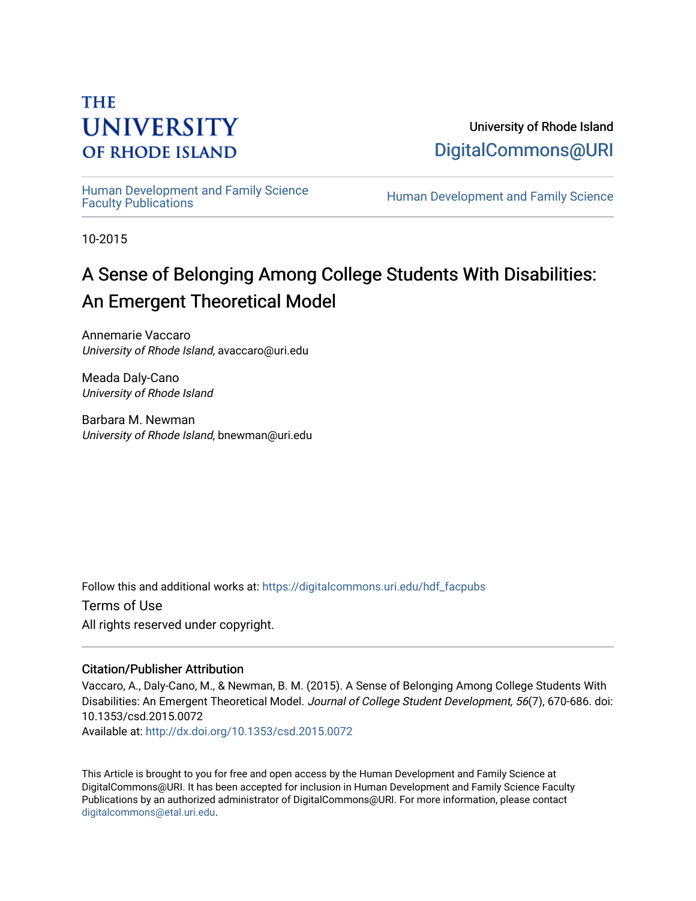## **THE UNIVERSITY OF RHODE ISLAND**

University of Rhode Island [DigitalCommons@URI](https://digitalcommons.uri.edu/) 

Human Development and Family Science<br>Faculty Publications

Human Development and Family Science

10-2015

## A Sense of Belonging Among College Students With Disabilities: An Emergent Theoretical Model

Annemarie Vaccaro University of Rhode Island, avaccaro@uri.edu

Meada Daly-Cano University of Rhode Island

Barbara M. Newman University of Rhode Island, bnewman@uri.edu

Follow this and additional works at: [https://digitalcommons.uri.edu/hdf\\_facpubs](https://digitalcommons.uri.edu/hdf_facpubs?utm_source=digitalcommons.uri.edu%2Fhdf_facpubs%2F25&utm_medium=PDF&utm_campaign=PDFCoverPages) 

Terms of Use All rights reserved under copyright.

#### Citation/Publisher Attribution

Vaccaro, A., Daly-Cano, M., & Newman, B. M. (2015). A Sense of Belonging Among College Students With Disabilities: An Emergent Theoretical Model. Journal of College Student Development, 56(7), 670-686. doi: 10.1353/csd.2015.0072 Available at:<http://dx.doi.org/10.1353/csd.2015.0072>

This Article is brought to you for free and open access by the Human Development and Family Science at DigitalCommons@URI. It has been accepted for inclusion in Human Development and Family Science Faculty Publications by an authorized administrator of DigitalCommons@URI. For more information, please contact [digitalcommons@etal.uri.edu](mailto:digitalcommons@etal.uri.edu).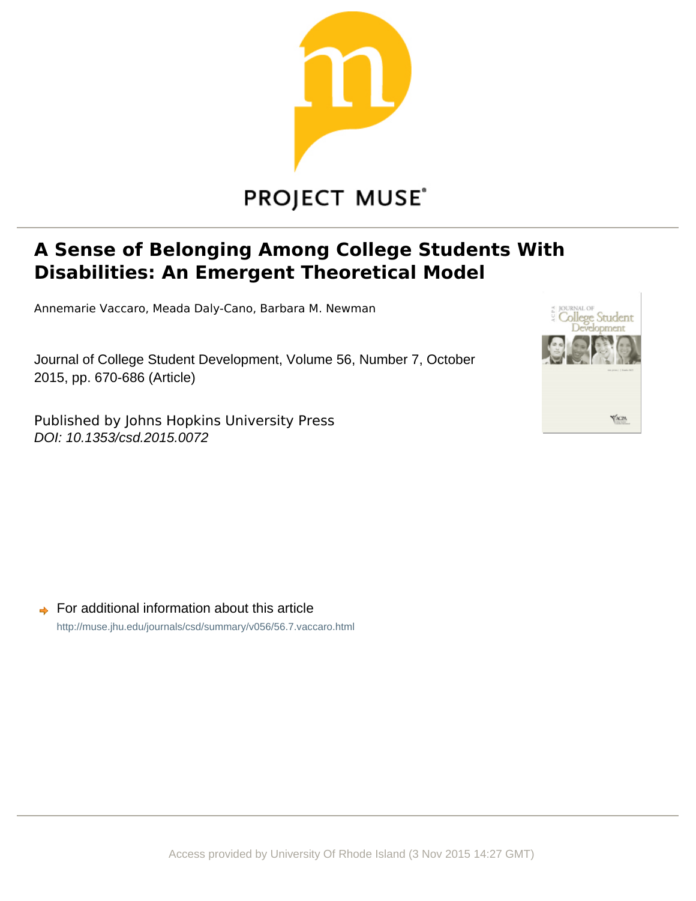

# **PROJECT MUSE®**

### **A Sense of Belonging Among College Students With Disabilities: An Emergent Theoretical Model**

Annemarie Vaccaro, Meada Daly-Cano, Barbara M. Newman

Journal of College Student Development, Volume 56, Number 7, October 2015, pp. 670-686 (Article)

Published by Johns Hopkins University Press DOI: 10.1353/csd.2015.0072



 $\rightarrow$  For additional information about this article <http://muse.jhu.edu/journals/csd/summary/v056/56.7.vaccaro.html>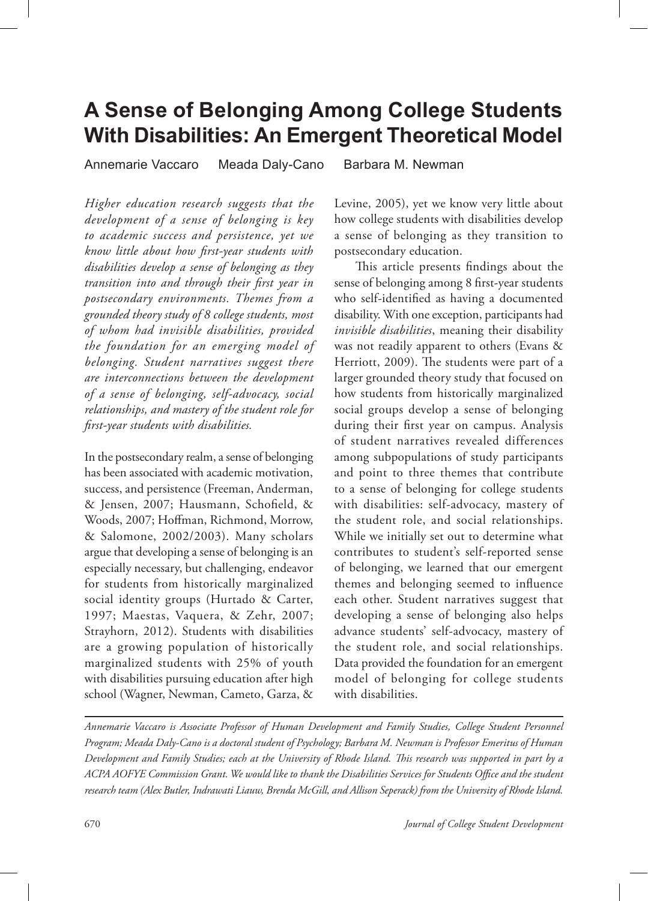### **A Sense of Belonging Among College Students With Disabilities: An Emergent Theoretical Model**

Annemarie Vaccaro Meada Daly-Cano Barbara M. Newman

*Higher education research suggests that the development of a sense of belonging is key to academic success and persistence, yet we know little about how first-year students with disabilities develop a sense of belonging as they transition into and through their first year in postsecondary environments. Themes from a grounded theory study of 8 college students, most of whom had invisible disabilities, provided the foundation for an emerging model of belonging. Student narratives suggest there are interconnections between the development of a sense of belonging, self-advocacy, social relationships, and mastery of the student role for first-year students with disabilities.*

In the postsecondary realm, a sense of belonging has been associated with academic motivation, success, and persistence (Freeman, Anderman, & Jensen, 2007; Hausmann, Schofield, & Woods, 2007; Hoffman, Richmond, Morrow, & Salomone, 2002/2003). Many scholars argue that developing a sense of belonging is an especially necessary, but challenging, endeavor for students from historically marginalized social identity groups (Hurtado & Carter, 1997; Maestas, Vaquera, & Zehr, 2007; Strayhorn, 2012). Students with disabilities are a growing population of historically marginalized students with 25% of youth with disabilities pursuing education after high school (Wagner, Newman, Cameto, Garza, &

Levine, 2005), yet we know very little about how college students with disabilities develop a sense of belonging as they transition to postsecondary education.

This article presents findings about the sense of belonging among 8 first-year students who self-identified as having a documented disability. With one exception, participants had *invisible disabilities*, meaning their disability was not readily apparent to others (Evans & Herriott, 2009). The students were part of a larger grounded theory study that focused on how students from historically marginalized social groups develop a sense of belonging during their first year on campus. Analysis of student narratives revealed differences among subpopulations of study participants and point to three themes that contribute to a sense of belonging for college students with disabilities: self-advocacy, mastery of the student role, and social relationships. While we initially set out to determine what contributes to student's self-reported sense of belonging, we learned that our emergent themes and belonging seemed to influence each other. Student narratives suggest that developing a sense of belonging also helps advance students' self-advocacy, mastery of the student role, and social relationships. Data provided the foundation for an emergent model of belonging for college students with disabilities.

*Annemarie Vaccaro is Associate Professor of Human Development and Family Studies, College Student Personnel Program; Meada Daly-Cano is a doctoral student of Psychology; Barbara M. Newman is Professor Emeritus of Human Development and Family Studies; each at the University of Rhode Island. This research was supported in part by a ACPA AOFYE Commission Grant. We would like to thank the Disabilities Services for Students Office and the student research team (Alex Butler, Indrawati Liauw, Brenda McGill, and Allison Seperack) from the University of Rhode Island.*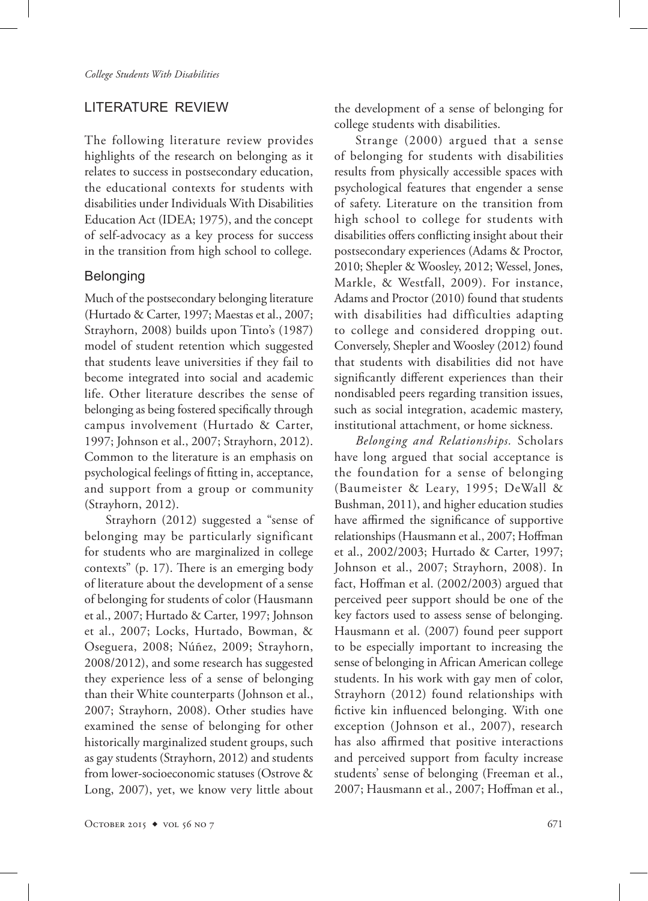#### Literature Review

The following literature review provides highlights of the research on belonging as it relates to success in postsecondary education, the educational contexts for students with disabilities under Individuals With Disabilities Education Act (IDEA; 1975), and the concept of self-advocacy as a key process for success in the transition from high school to college.

#### Belonging

Much of the postsecondary belonging literature (Hurtado & Carter, 1997; Maestas et al., 2007; Strayhorn, 2008) builds upon Tinto's (1987) model of student retention which suggested that students leave universities if they fail to become integrated into social and academic life. Other literature describes the sense of belonging as being fostered specifically through campus involvement (Hurtado & Carter, 1997; Johnson et al., 2007; Strayhorn, 2012). Common to the literature is an emphasis on psychological feelings of fitting in, acceptance, and support from a group or community (Strayhorn, 2012).

Strayhorn (2012) suggested a "sense of belonging may be particularly significant for students who are marginalized in college contexts" (p. 17). There is an emerging body of literature about the development of a sense of belonging for students of color (Hausmann et al., 2007; Hurtado & Carter, 1997; Johnson et al., 2007; Locks, Hurtado, Bowman, & Oseguera, 2008; Núñez, 2009; Strayhorn, 2008/2012), and some research has suggested they experience less of a sense of belonging than their White counterparts (Johnson et al., 2007; Strayhorn, 2008). Other studies have examined the sense of belonging for other historically marginalized student groups, such as gay students (Strayhorn, 2012) and students from lower-socioeconomic statuses (Ostrove & Long, 2007), yet, we know very little about

the development of a sense of belonging for college students with disabilities.

Strange (2000) argued that a sense of belonging for students with disabilities results from physically accessible spaces with psychological features that engender a sense of safety. Literature on the transition from high school to college for students with disabilities offers conflicting insight about their postsecondary experiences (Adams & Proctor, 2010; Shepler & Woosley, 2012; Wessel, Jones, Markle, & Westfall, 2009). For instance, Adams and Proctor (2010) found that students with disabilities had difficulties adapting to college and considered dropping out. Conversely, Shepler and Woosley (2012) found that students with disabilities did not have significantly different experiences than their nondisabled peers regarding transition issues, such as social integration, academic mastery, institutional attachment, or home sickness.

*Belonging and Relationships.* Scholars have long argued that social acceptance is the foundation for a sense of belonging (Baumeister & Leary, 1995; DeWall & Bushman, 2011), and higher education studies have affirmed the significance of supportive relationships (Hausmann et al., 2007; Hoffman et al., 2002/2003; Hurtado & Carter, 1997; Johnson et al., 2007; Strayhorn, 2008). In fact, Hoffman et al. (2002/2003) argued that perceived peer support should be one of the key factors used to assess sense of belonging. Hausmann et al. (2007) found peer support to be especially important to increasing the sense of belonging in African American college students. In his work with gay men of color, Strayhorn (2012) found relationships with fictive kin influenced belonging. With one exception (Johnson et al., 2007), research has also affirmed that positive interactions and perceived support from faculty increase students' sense of belonging (Freeman et al., 2007; Hausmann et al., 2007; Hoffman et al.,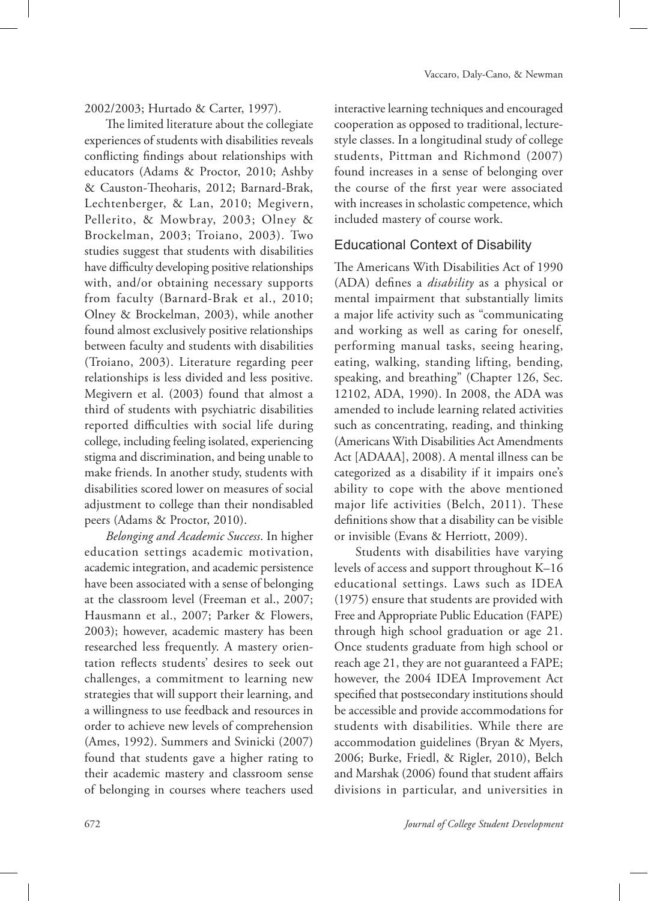2002/2003; Hurtado & Carter, 1997).

The limited literature about the collegiate experiences of students with disabilities reveals conflicting findings about relationships with educators (Adams & Proctor, 2010; Ashby & Causton-Theoharis, 2012; Barnard-Brak, Lechtenberger, & Lan, 2010; Megivern, Pellerito, & Mowbray, 2003; Olney & Brockelman, 2003; Troiano, 2003). Two studies suggest that students with disabilities have difficulty developing positive relationships with, and/or obtaining necessary supports from faculty (Barnard-Brak et al., 2010; Olney & Brockelman, 2003), while another found almost exclusively positive relationships between faculty and students with disabilities (Troiano, 2003). Literature regarding peer relationships is less divided and less positive. Megivern et al. (2003) found that almost a third of students with psychiatric disabilities reported difficulties with social life during college, including feeling isolated, experiencing stigma and discrimination, and being unable to make friends. In another study, students with disabilities scored lower on measures of social adjustment to college than their nondisabled peers (Adams & Proctor, 2010).

*Belonging and Academic Success*. In higher education settings academic motivation, academic integration, and academic persistence have been associated with a sense of belonging at the classroom level (Freeman et al., 2007; Hausmann et al., 2007; Parker & Flowers, 2003); however, academic mastery has been researched less frequently. A mastery orientation reflects students' desires to seek out challenges, a commitment to learning new strategies that will support their learning, and a willingness to use feedback and resources in order to achieve new levels of comprehension (Ames, 1992). Summers and Svinicki (2007) found that students gave a higher rating to their academic mastery and classroom sense of belonging in courses where teachers used

interactive learning techniques and encouraged cooperation as opposed to traditional, lecturestyle classes. In a longitudinal study of college students, Pittman and Richmond (2007) found increases in a sense of belonging over the course of the first year were associated with increases in scholastic competence, which included mastery of course work.

#### Educational Context of Disability

The Americans With Disabilities Act of 1990 (ADA) defines a *disability* as a physical or mental impairment that substantially limits a major life activity such as "communicating and working as well as caring for oneself, performing manual tasks, seeing hearing, eating, walking, standing lifting, bending, speaking, and breathing" (Chapter 126, Sec. 12102, ADA, 1990). In 2008, the ADA was amended to include learning related activities such as concentrating, reading, and thinking (Americans With Disabilities Act Amendments Act [ADAAA], 2008). A mental illness can be categorized as a disability if it impairs one's ability to cope with the above mentioned major life activities (Belch, 2011). These definitions show that a disability can be visible or invisible (Evans & Herriott, 2009).

Students with disabilities have varying levels of access and support throughout K–16 educational settings. Laws such as IDEA (1975) ensure that students are provided with Free and Appropriate Public Education (FAPE) through high school graduation or age 21. Once students graduate from high school or reach age 21, they are not guaranteed a FAPE; however, the 2004 IDEA Improvement Act specified that postsecondary institutions should be accessible and provide accommodations for students with disabilities. While there are accommodation guidelines (Bryan & Myers, 2006; Burke, Friedl, & Rigler, 2010), Belch and Marshak (2006) found that student affairs divisions in particular, and universities in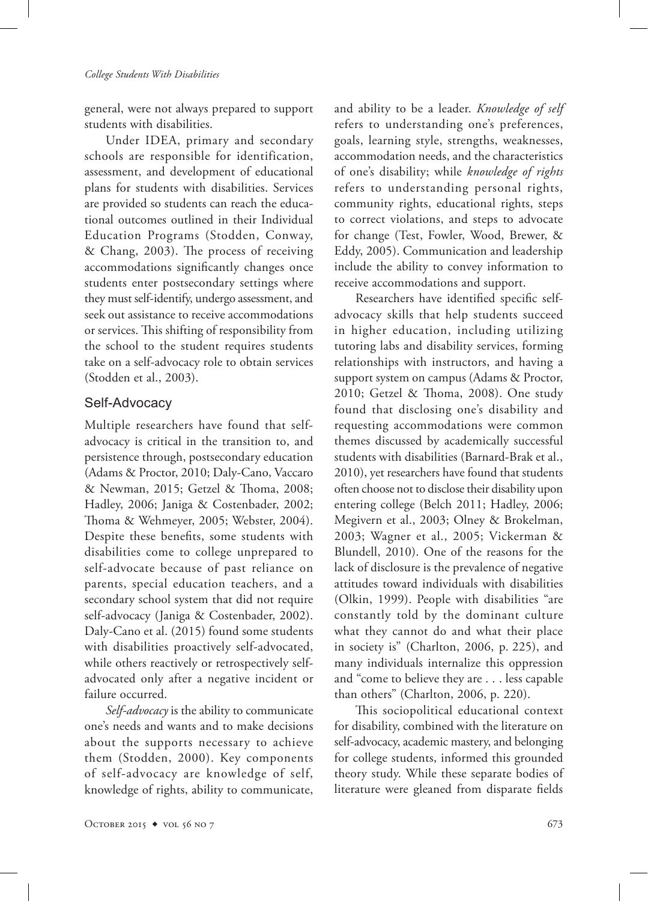general, were not always prepared to support students with disabilities.

Under IDEA, primary and secondary schools are responsible for identification, assessment, and development of educational plans for students with disabilities. Services are provided so students can reach the educational outcomes outlined in their Individual Education Programs (Stodden, Conway, & Chang, 2003). The process of receiving accommodations significantly changes once students enter postsecondary settings where they must self-identify, undergo assessment, and seek out assistance to receive accommodations or services. This shifting of responsibility from the school to the student requires students take on a self-advocacy role to obtain services (Stodden et al., 2003).

#### Self-Advocacy

Multiple researchers have found that selfadvocacy is critical in the transition to, and persistence through, postsecondary education (Adams & Proctor, 2010; Daly-Cano, Vaccaro & Newman, 2015; Getzel & Thoma, 2008; Hadley, 2006; Janiga & Costenbader, 2002; Thoma & Wehmeyer, 2005; Webster, 2004). Despite these benefits, some students with disabilities come to college unprepared to self-advocate because of past reliance on parents, special education teachers, and a secondary school system that did not require self-advocacy (Janiga & Costenbader, 2002). Daly-Cano et al. (2015) found some students with disabilities proactively self-advocated, while others reactively or retrospectively selfadvocated only after a negative incident or failure occurred.

*Self-advocacy* is the ability to communicate one's needs and wants and to make decisions about the supports necessary to achieve them (Stodden, 2000). Key components of self-advocacy are knowledge of self, knowledge of rights, ability to communicate,

and ability to be a leader. *Knowledge of self*  refers to understanding one's preferences, goals, learning style, strengths, weaknesses, accommodation needs, and the characteristics of one's disability; while *knowledge of rights* refers to understanding personal rights, community rights, educational rights, steps to correct violations, and steps to advocate for change (Test, Fowler, Wood, Brewer, & Eddy, 2005). Communication and leadership include the ability to convey information to receive accommodations and support.

Researchers have identified specific selfadvocacy skills that help students succeed in higher education, including utilizing tutoring labs and disability services, forming relationships with instructors, and having a support system on campus (Adams & Proctor, 2010; Getzel & Thoma, 2008). One study found that disclosing one's disability and requesting accommodations were common themes discussed by academically successful students with disabilities (Barnard-Brak et al., 2010), yet researchers have found that students often choose not to disclose their disability upon entering college (Belch 2011; Hadley, 2006; Megivern et al., 2003; Olney & Brokelman, 2003; Wagner et al., 2005; Vickerman & Blundell, 2010). One of the reasons for the lack of disclosure is the prevalence of negative attitudes toward individuals with disabilities (Olkin, 1999). People with disabilities "are constantly told by the dominant culture what they cannot do and what their place in society is" (Charlton, 2006, p. 225), and many individuals internalize this oppression and "come to believe they are . . . less capable than others" (Charlton, 2006, p. 220).

This sociopolitical educational context for disability, combined with the literature on self-advocacy, academic mastery, and belonging for college students, informed this grounded theory study. While these separate bodies of literature were gleaned from disparate fields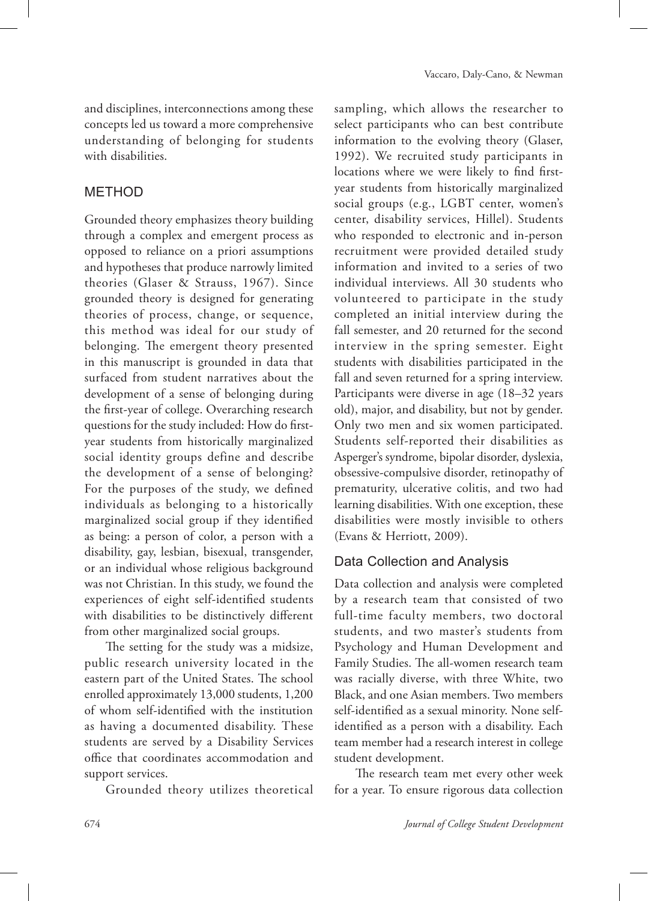and disciplines, interconnections among these concepts led us toward a more comprehensive understanding of belonging for students with disabilities.

#### METHOD

Grounded theory emphasizes theory building through a complex and emergent process as opposed to reliance on a priori assumptions and hypotheses that produce narrowly limited theories (Glaser & Strauss, 1967). Since grounded theory is designed for generating theories of process, change, or sequence, this method was ideal for our study of belonging. The emergent theory presented in this manuscript is grounded in data that surfaced from student narratives about the development of a sense of belonging during the first-year of college. Overarching research questions for the study included: How do firstyear students from historically marginalized social identity groups define and describe the development of a sense of belonging? For the purposes of the study, we defined individuals as belonging to a historically marginalized social group if they identified as being: a person of color, a person with a disability, gay, lesbian, bisexual, transgender, or an individual whose religious background was not Christian. In this study, we found the experiences of eight self-identified students with disabilities to be distinctively different from other marginalized social groups.

The setting for the study was a midsize, public research university located in the eastern part of the United States. The school enrolled approximately 13,000 students, 1,200 of whom self-identified with the institution as having a documented disability. These students are served by a Disability Services office that coordinates accommodation and support services.

Grounded theory utilizes theoretical

sampling, which allows the researcher to select participants who can best contribute information to the evolving theory (Glaser, 1992). We recruited study participants in locations where we were likely to find firstyear students from historically marginalized social groups (e.g., LGBT center, women's center, disability services, Hillel). Students who responded to electronic and in-person recruitment were provided detailed study information and invited to a series of two individual interviews. All 30 students who volunteered to participate in the study completed an initial interview during the fall semester, and 20 returned for the second interview in the spring semester. Eight students with disabilities participated in the fall and seven returned for a spring interview. Participants were diverse in age (18–32 years old), major, and disability, but not by gender. Only two men and six women participated. Students self-reported their disabilities as Asperger's syndrome, bipolar disorder, dyslexia, obsessive-compulsive disorder, retinopathy of prematurity, ulcerative colitis, and two had learning disabilities. With one exception, these disabilities were mostly invisible to others (Evans & Herriott, 2009).

#### Data Collection and Analysis

Data collection and analysis were completed by a research team that consisted of two full-time faculty members, two doctoral students, and two master's students from Psychology and Human Development and Family Studies. The all-women research team was racially diverse, with three White, two Black, and one Asian members. Two members self-identified as a sexual minority. None selfidentified as a person with a disability. Each team member had a research interest in college student development.

The research team met every other week for a year. To ensure rigorous data collection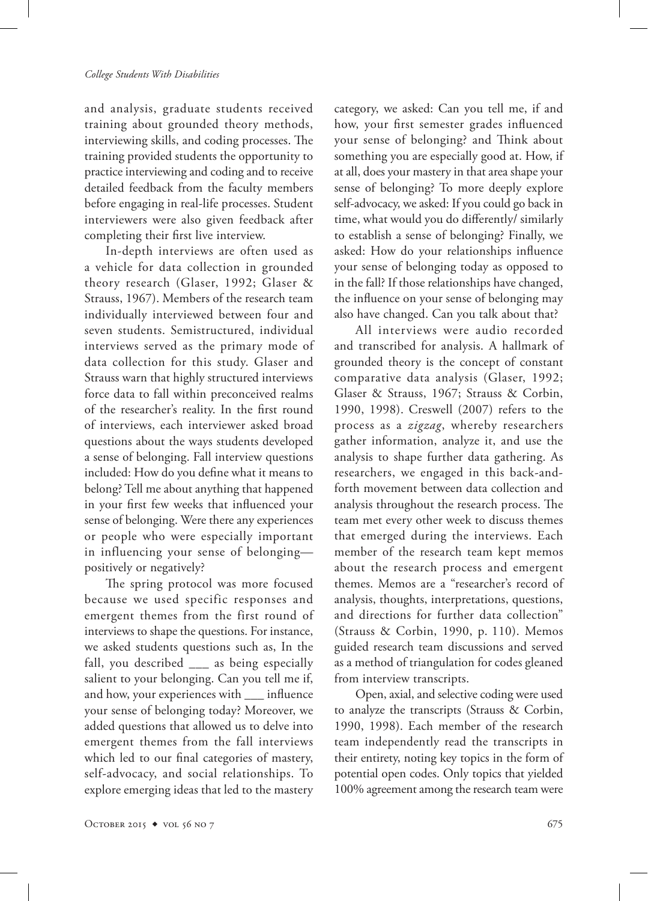and analysis, graduate students received training about grounded theory methods, interviewing skills, and coding processes. The training provided students the opportunity to practice interviewing and coding and to receive detailed feedback from the faculty members before engaging in real-life processes. Student interviewers were also given feedback after completing their first live interview.

In-depth interviews are often used as a vehicle for data collection in grounded theory research (Glaser, 1992; Glaser & Strauss, 1967). Members of the research team individually interviewed between four and seven students. Semistructured, individual interviews served as the primary mode of data collection for this study. Glaser and Strauss warn that highly structured interviews force data to fall within preconceived realms of the researcher's reality. In the first round of interviews, each interviewer asked broad questions about the ways students developed a sense of belonging. Fall interview questions included: How do you define what it means to belong? Tell me about anything that happened in your first few weeks that influenced your sense of belonging. Were there any experiences or people who were especially important in influencing your sense of belonging positively or negatively?

The spring protocol was more focused because we used specific responses and emergent themes from the first round of interviews to shape the questions. For instance, we asked students questions such as, In the fall, you described \_\_\_ as being especially salient to your belonging. Can you tell me if, and how, your experiences with \_\_\_ influence your sense of belonging today? Moreover, we added questions that allowed us to delve into emergent themes from the fall interviews which led to our final categories of mastery, self-advocacy, and social relationships. To explore emerging ideas that led to the mastery

category, we asked: Can you tell me, if and how, your first semester grades influenced your sense of belonging? and Think about something you are especially good at. How, if at all, does your mastery in that area shape your sense of belonging? To more deeply explore self-advocacy, we asked: If you could go back in time, what would you do differently/ similarly to establish a sense of belonging? Finally, we asked: How do your relationships influence your sense of belonging today as opposed to in the fall? If those relationships have changed, the influence on your sense of belonging may also have changed. Can you talk about that?

All interviews were audio recorded and transcribed for analysis. A hallmark of grounded theory is the concept of constant comparative data analysis (Glaser, 1992; Glaser & Strauss, 1967; Strauss & Corbin, 1990, 1998). Creswell (2007) refers to the process as a *zigzag*, whereby researchers gather information, analyze it, and use the analysis to shape further data gathering. As researchers, we engaged in this back-andforth movement between data collection and analysis throughout the research process. The team met every other week to discuss themes that emerged during the interviews. Each member of the research team kept memos about the research process and emergent themes. Memos are a "researcher's record of analysis, thoughts, interpretations, questions, and directions for further data collection" (Strauss & Corbin, 1990, p. 110). Memos guided research team discussions and served as a method of triangulation for codes gleaned from interview transcripts.

Open, axial, and selective coding were used to analyze the transcripts (Strauss & Corbin, 1990, 1998). Each member of the research team independently read the transcripts in their entirety, noting key topics in the form of potential open codes. Only topics that yielded 100% agreement among the research team were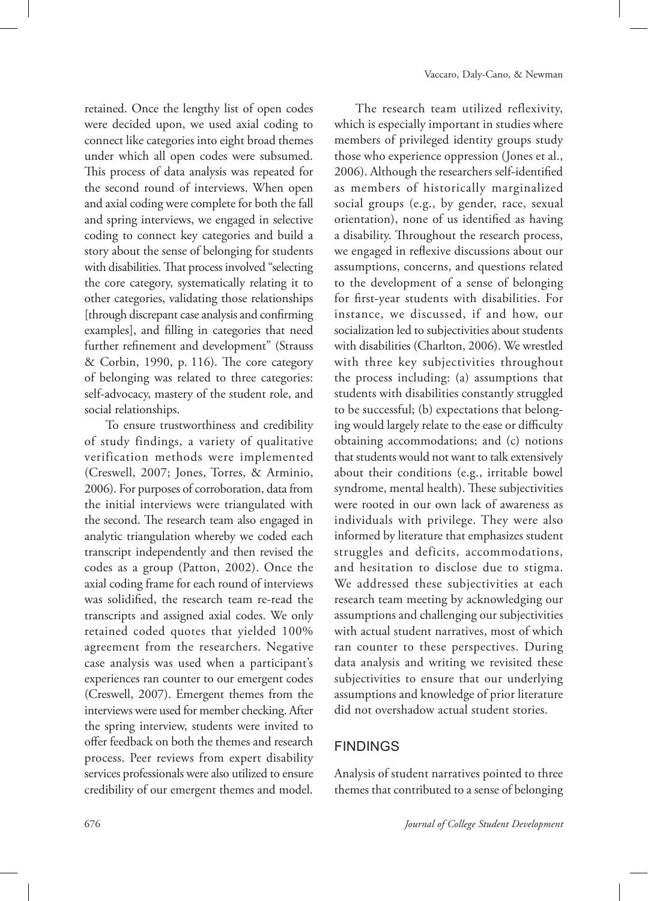The research team utilized reflexivity,

retained. Once the lengthy list of open codes were decided upon, we used axial coding to connect like categories into eight broad themes under which all open codes were subsumed. This process of data analysis was repeated for the second round of interviews. When open and axial coding were complete for both the fall and spring interviews, we engaged in selective coding to connect key categories and build a story about the sense of belonging for students with disabilities. That process involved "selecting the core category, systematically relating it to other categories, validating those relationships [through discrepant case analysis and confirming examples], and filling in categories that need further refinement and development" (Strauss & Corbin, 1990, p. 116). The core category of belonging was related to three categories: self-advocacy, mastery of the student role, and social relationships.

To ensure trustworthiness and credibility of study findings, a variety of qualitative verification methods were implemented (Creswell, 2007; Jones, Torres, & Arminio, 2006). For purposes of corroboration, data from the initial interviews were triangulated with the second. The research team also engaged in analytic triangulation whereby we coded each transcript independently and then revised the codes as a group (Patton, 2002). Once the axial coding frame for each round of interviews was solidified, the research team re-read the transcripts and assigned axial codes. We only retained coded quotes that yielded 100% agreement from the researchers. Negative case analysis was used when a participant's experiences ran counter to our emergent codes (Creswell, 2007). Emergent themes from the interviews were used for member checking. After the spring interview, students were invited to offer feedback on both the themes and research process. Peer reviews from expert disability services professionals were also utilized to ensure credibility of our emergent themes and model.

which is especially important in studies where members of privileged identity groups study those who experience oppression (Jones et al., 2006). Although the researchers self-identified as members of historically marginalized social groups (e.g., by gender, race, sexual orientation), none of us identified as having a disability. Throughout the research process, we engaged in reflexive discussions about our assumptions, concerns, and questions related to the development of a sense of belonging for first-year students with disabilities. For instance, we discussed, if and how, our socialization led to subjectivities about students with disabilities (Charlton, 2006). We wrestled with three key subjectivities throughout the process including: (a) assumptions that students with disabilities constantly struggled to be successful; (b) expectations that belonging would largely relate to the ease or difficulty obtaining accommodations; and (c) notions that students would not want to talk extensively about their conditions (e.g., irritable bowel syndrome, mental health). These subjectivities were rooted in our own lack of awareness as individuals with privilege. They were also informed by literature that emphasizes student struggles and deficits, accommodations, and hesitation to disclose due to stigma. We addressed these subjectivities at each research team meeting by acknowledging our assumptions and challenging our subjectivities with actual student narratives, most of which ran counter to these perspectives. During data analysis and writing we revisited these subjectivities to ensure that our underlying assumptions and knowledge of prior literature did not overshadow actual student stories.

#### **FINDINGS**

Analysis of student narratives pointed to three themes that contributed to a sense of belonging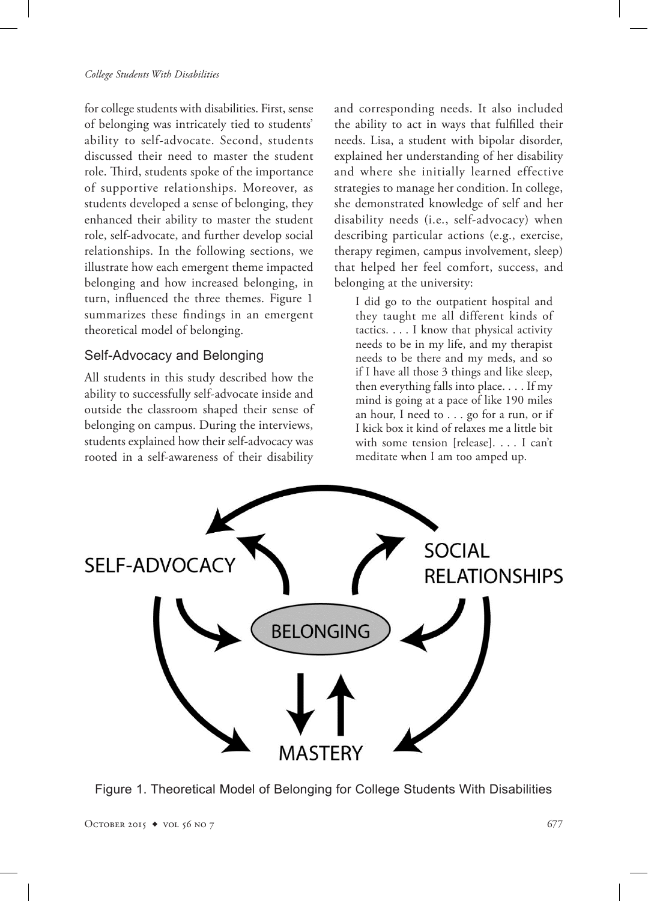for college students with disabilities. First, sense of belonging was intricately tied to students' ability to self-advocate. Second, students discussed their need to master the student role. Third, students spoke of the importance of supportive relationships. Moreover, as students developed a sense of belonging, they enhanced their ability to master the student role, self-advocate, and further develop social relationships. In the following sections, we illustrate how each emergent theme impacted belonging and how increased belonging, in turn, influenced the three themes. Figure 1 summarizes these findings in an emergent theoretical model of belonging.

#### Self-Advocacy and Belonging

All students in this study described how the ability to successfully self-advocate inside and outside the classroom shaped their sense of belonging on campus. During the interviews, students explained how their self-advocacy was rooted in a self-awareness of their disability

and corresponding needs. It also included the ability to act in ways that fulfilled their needs. Lisa, a student with bipolar disorder, explained her understanding of her disability and where she initially learned effective strategies to manage her condition. In college, she demonstrated knowledge of self and her disability needs (i.e., self-advocacy) when describing particular actions (e.g., exercise, therapy regimen, campus involvement, sleep) that helped her feel comfort, success, and belonging at the university:

I did go to the outpatient hospital and they taught me all different kinds of tactics. . . . I know that physical activity needs to be in my life, and my therapist needs to be there and my meds, and so if I have all those 3 things and like sleep, then everything falls into place. . . . If my mind is going at a pace of like 190 miles an hour, I need to . . . go for a run, or if I kick box it kind of relaxes me a little bit with some tension [release]. . . . I can't meditate when I am too amped up.



Figure 1. Theoretical Model of Belonging for College Students With Disabilities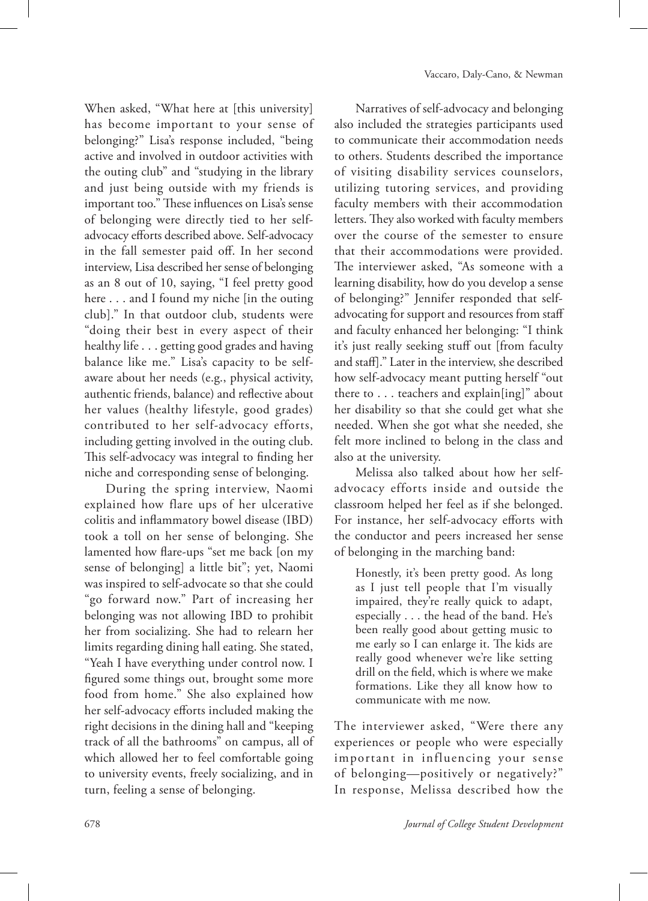When asked, "What here at [this university] has become important to your sense of belonging?" Lisa's response included, "being active and involved in outdoor activities with the outing club" and "studying in the library and just being outside with my friends is important too." These influences on Lisa's sense of belonging were directly tied to her selfadvocacy efforts described above. Self-advocacy in the fall semester paid off. In her second interview, Lisa described her sense of belonging as an 8 out of 10, saying, "I feel pretty good here . . . and I found my niche [in the outing club]." In that outdoor club, students were "doing their best in every aspect of their healthy life . . . getting good grades and having balance like me." Lisa's capacity to be selfaware about her needs (e.g., physical activity, authentic friends, balance) and reflective about her values (healthy lifestyle, good grades) contributed to her self-advocacy efforts, including getting involved in the outing club. This self-advocacy was integral to finding her niche and corresponding sense of belonging.

During the spring interview, Naomi explained how flare ups of her ulcerative colitis and inflammatory bowel disease (IBD) took a toll on her sense of belonging. She lamented how flare-ups "set me back [on my sense of belonging] a little bit"; yet, Naomi was inspired to self-advocate so that she could "go forward now." Part of increasing her belonging was not allowing IBD to prohibit her from socializing. She had to relearn her limits regarding dining hall eating. She stated, "Yeah I have everything under control now. I figured some things out, brought some more food from home." She also explained how her self-advocacy efforts included making the right decisions in the dining hall and "keeping track of all the bathrooms" on campus, all of which allowed her to feel comfortable going to university events, freely socializing, and in turn, feeling a sense of belonging.

Narratives of self-advocacy and belonging also included the strategies participants used to communicate their accommodation needs to others. Students described the importance of visiting disability services counselors, utilizing tutoring services, and providing faculty members with their accommodation letters. They also worked with faculty members over the course of the semester to ensure that their accommodations were provided. The interviewer asked, "As someone with a learning disability, how do you develop a sense of belonging?" Jennifer responded that selfadvocating for support and resources from staff and faculty enhanced her belonging: "I think it's just really seeking stuff out [from faculty and staff]." Later in the interview, she described how self-advocacy meant putting herself "out there to . . . teachers and explain[ing]" about her disability so that she could get what she needed. When she got what she needed, she felt more inclined to belong in the class and also at the university.

Melissa also talked about how her selfadvocacy efforts inside and outside the classroom helped her feel as if she belonged. For instance, her self-advocacy efforts with the conductor and peers increased her sense of belonging in the marching band:

Honestly, it's been pretty good. As long as I just tell people that I'm visually impaired, they're really quick to adapt, especially . . . the head of the band. He's been really good about getting music to me early so I can enlarge it. The kids are really good whenever we're like setting drill on the field, which is where we make formations. Like they all know how to communicate with me now.

The interviewer asked, "Were there any experiences or people who were especially important in influencing your sense of belonging—positively or negatively?" In response, Melissa described how the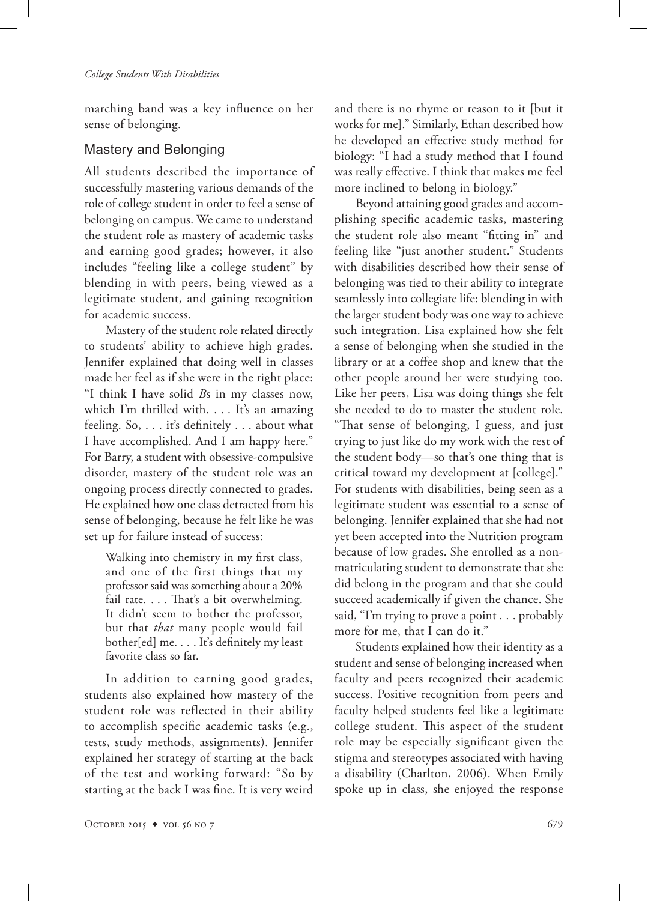marching band was a key influence on her sense of belonging.

### Mastery and Belonging

All students described the importance of successfully mastering various demands of the role of college student in order to feel a sense of belonging on campus. We came to understand the student role as mastery of academic tasks and earning good grades; however, it also includes "feeling like a college student" by blending in with peers, being viewed as a legitimate student, and gaining recognition for academic success.

Mastery of the student role related directly to students' ability to achieve high grades. Jennifer explained that doing well in classes made her feel as if she were in the right place: "I think I have solid *B*s in my classes now, which I'm thrilled with. . . . It's an amazing feeling. So, . . . it's definitely . . . about what I have accomplished. And I am happy here." For Barry, a student with obsessive-compulsive disorder, mastery of the student role was an ongoing process directly connected to grades. He explained how one class detracted from his sense of belonging, because he felt like he was set up for failure instead of success:

Walking into chemistry in my first class, and one of the first things that my professor said was something about a 20% fail rate. . . . That's a bit overwhelming. It didn't seem to bother the professor, but that *that* many people would fail bother[ed] me. . . . It's definitely my least favorite class so far.

In addition to earning good grades, students also explained how mastery of the student role was reflected in their ability to accomplish specific academic tasks (e.g., tests, study methods, assignments). Jennifer explained her strategy of starting at the back of the test and working forward: "So by starting at the back I was fine. It is very weird and there is no rhyme or reason to it [but it works for me]." Similarly, Ethan described how he developed an effective study method for biology: "I had a study method that I found was really effective. I think that makes me feel more inclined to belong in biology."

Beyond attaining good grades and accomplishing specific academic tasks, mastering the student role also meant "fitting in" and feeling like "just another student." Students with disabilities described how their sense of belonging was tied to their ability to integrate seamlessly into collegiate life: blending in with the larger student body was one way to achieve such integration. Lisa explained how she felt a sense of belonging when she studied in the library or at a coffee shop and knew that the other people around her were studying too. Like her peers, Lisa was doing things she felt she needed to do to master the student role. "That sense of belonging, I guess, and just trying to just like do my work with the rest of the student body—so that's one thing that is critical toward my development at [college]." For students with disabilities, being seen as a legitimate student was essential to a sense of belonging. Jennifer explained that she had not yet been accepted into the Nutrition program because of low grades. She enrolled as a nonmatriculating student to demonstrate that she did belong in the program and that she could succeed academically if given the chance. She said, "I'm trying to prove a point . . . probably more for me, that I can do it."

Students explained how their identity as a student and sense of belonging increased when faculty and peers recognized their academic success. Positive recognition from peers and faculty helped students feel like a legitimate college student. This aspect of the student role may be especially significant given the stigma and stereotypes associated with having a disability (Charlton, 2006). When Emily spoke up in class, she enjoyed the response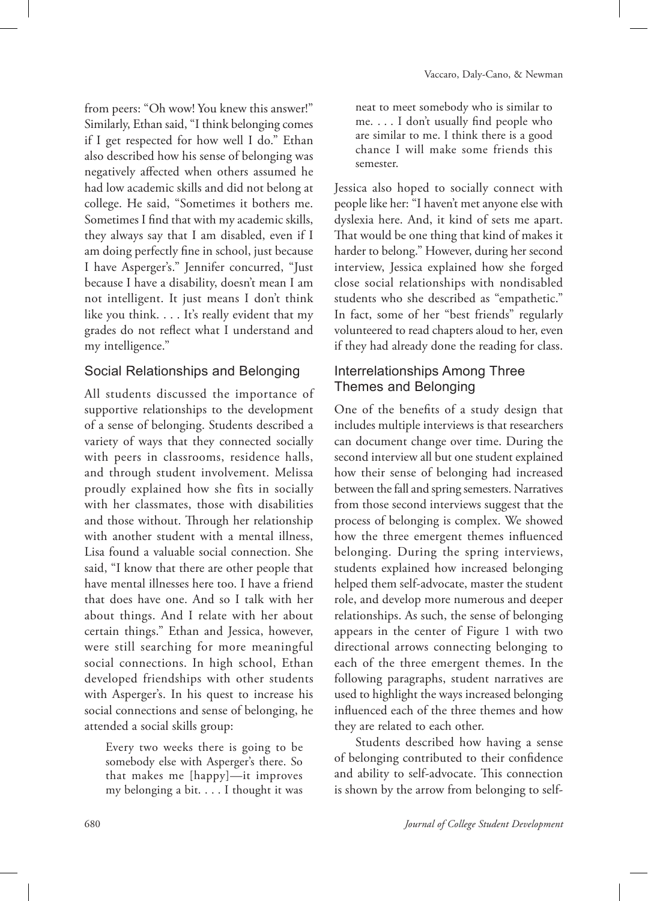from peers: "Oh wow! You knew this answer!" Similarly, Ethan said, "I think belonging comes if I get respected for how well I do." Ethan also described how his sense of belonging was negatively affected when others assumed he had low academic skills and did not belong at college. He said, "Sometimes it bothers me. Sometimes I find that with my academic skills, they always say that I am disabled, even if I am doing perfectly fine in school, just because I have Asperger's." Jennifer concurred, "Just because I have a disability, doesn't mean I am not intelligent. It just means I don't think like you think. . . . It's really evident that my grades do not reflect what I understand and my intelligence."

#### Social Relationships and Belonging

All students discussed the importance of supportive relationships to the development of a sense of belonging. Students described a variety of ways that they connected socially with peers in classrooms, residence halls, and through student involvement. Melissa proudly explained how she fits in socially with her classmates, those with disabilities and those without. Through her relationship with another student with a mental illness, Lisa found a valuable social connection. She said, "I know that there are other people that have mental illnesses here too. I have a friend that does have one. And so I talk with her about things. And I relate with her about certain things." Ethan and Jessica, however, were still searching for more meaningful social connections. In high school, Ethan developed friendships with other students with Asperger's. In his quest to increase his social connections and sense of belonging, he attended a social skills group:

Every two weeks there is going to be somebody else with Asperger's there. So that makes me [happy]—it improves my belonging a bit. . . . I thought it was

neat to meet somebody who is similar to me. . . . I don't usually find people who are similar to me. I think there is a good chance I will make some friends this semester.

Jessica also hoped to socially connect with people like her: "I haven't met anyone else with dyslexia here. And, it kind of sets me apart. That would be one thing that kind of makes it harder to belong." However, during her second interview, Jessica explained how she forged close social relationships with nondisabled students who she described as "empathetic." In fact, some of her "best friends" regularly volunteered to read chapters aloud to her, even if they had already done the reading for class.

#### Interrelationships Among Three Themes and Belonging

One of the benefits of a study design that includes multiple interviews is that researchers can document change over time. During the second interview all but one student explained how their sense of belonging had increased between the fall and spring semesters. Narratives from those second interviews suggest that the process of belonging is complex. We showed how the three emergent themes influenced belonging. During the spring interviews, students explained how increased belonging helped them self-advocate, master the student role, and develop more numerous and deeper relationships. As such, the sense of belonging appears in the center of Figure 1 with two directional arrows connecting belonging to each of the three emergent themes. In the following paragraphs, student narratives are used to highlight the ways increased belonging influenced each of the three themes and how they are related to each other.

Students described how having a sense of belonging contributed to their confidence and ability to self-advocate. This connection is shown by the arrow from belonging to self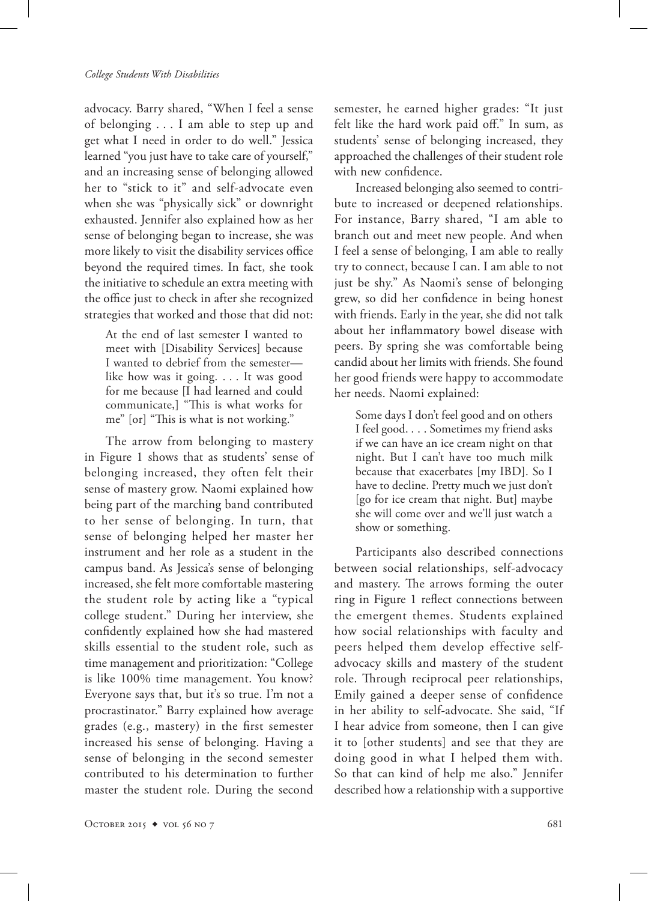advocacy. Barry shared, "When I feel a sense of belonging . . . I am able to step up and get what I need in order to do well." Jessica learned "you just have to take care of yourself," and an increasing sense of belonging allowed her to "stick to it" and self-advocate even when she was "physically sick" or downright exhausted. Jennifer also explained how as her sense of belonging began to increase, she was more likely to visit the disability services office beyond the required times. In fact, she took the initiative to schedule an extra meeting with the office just to check in after she recognized strategies that worked and those that did not:

At the end of last semester I wanted to meet with [Disability Services] because I wanted to debrief from the semester like how was it going. . . . It was good for me because [I had learned and could communicate,] "This is what works for me" [or] "This is what is not working."

The arrow from belonging to mastery in Figure 1 shows that as students' sense of belonging increased, they often felt their sense of mastery grow. Naomi explained how being part of the marching band contributed to her sense of belonging. In turn, that sense of belonging helped her master her instrument and her role as a student in the campus band. As Jessica's sense of belonging increased, she felt more comfortable mastering the student role by acting like a "typical college student." During her interview, she confidently explained how she had mastered skills essential to the student role, such as time management and prioritization: "College is like 100% time management. You know? Everyone says that, but it's so true. I'm not a procrastinator." Barry explained how average grades (e.g., mastery) in the first semester increased his sense of belonging. Having a sense of belonging in the second semester contributed to his determination to further master the student role. During the second

Increased belonging also seemed to contribute to increased or deepened relationships. For instance, Barry shared, "I am able to branch out and meet new people. And when I feel a sense of belonging, I am able to really try to connect, because I can. I am able to not just be shy." As Naomi's sense of belonging grew, so did her confidence in being honest with friends. Early in the year, she did not talk about her inflammatory bowel disease with peers. By spring she was comfortable being candid about her limits with friends. She found her good friends were happy to accommodate her needs. Naomi explained:

Some days I don't feel good and on others I feel good. . . . Sometimes my friend asks if we can have an ice cream night on that night. But I can't have too much milk because that exacerbates [my IBD]. So I have to decline. Pretty much we just don't [go for ice cream that night. But] maybe she will come over and we'll just watch a show or something.

Participants also described connections between social relationships, self-advocacy and mastery. The arrows forming the outer ring in Figure 1 reflect connections between the emergent themes. Students explained how social relationships with faculty and peers helped them develop effective selfadvocacy skills and mastery of the student role. Through reciprocal peer relationships, Emily gained a deeper sense of confidence in her ability to self-advocate. She said, "If I hear advice from someone, then I can give it to [other students] and see that they are doing good in what I helped them with. So that can kind of help me also." Jennifer described how a relationship with a supportive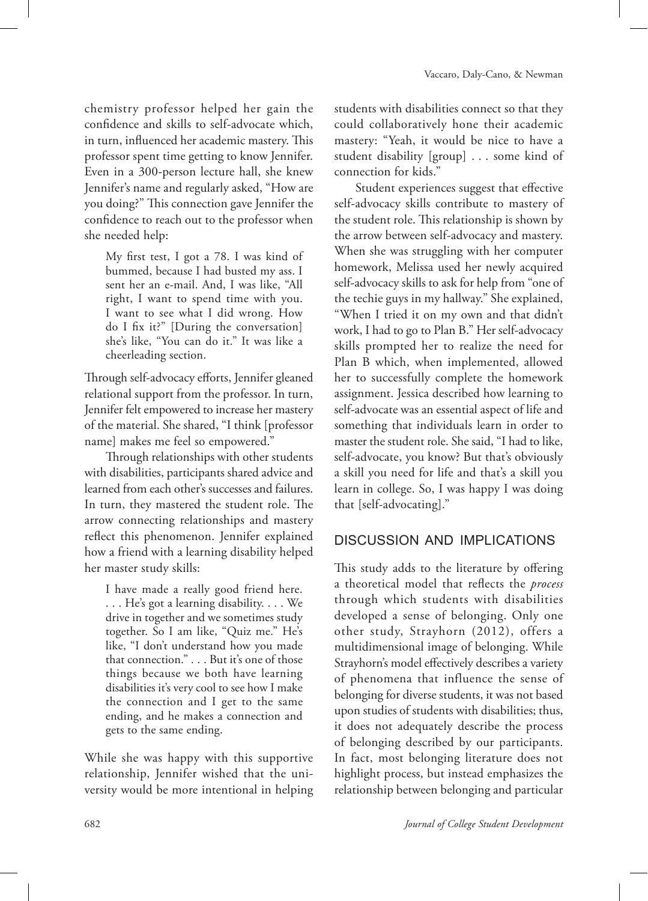chemistry professor helped her gain the confidence and skills to self-advocate which, in turn, influenced her academic mastery. This professor spent time getting to know Jennifer. Even in a 300-person lecture hall, she knew Jennifer's name and regularly asked, "How are you doing?" This connection gave Jennifer the confidence to reach out to the professor when she needed help:

My first test, I got a 78. I was kind of bummed, because I had busted my ass. I sent her an e-mail. And, I was like, "All right, I want to spend time with you. I want to see what I did wrong. How do I fix it?" [During the conversation] she's like, "You can do it." It was like a cheerleading section.

Through self-advocacy efforts, Jennifer gleaned relational support from the professor. In turn, Jennifer felt empowered to increase her mastery of the material. She shared, "I think [professor name] makes me feel so empowered."

Through relationships with other students with disabilities, participants shared advice and learned from each other's successes and failures. In turn, they mastered the student role. The arrow connecting relationships and mastery reflect this phenomenon. Jennifer explained how a friend with a learning disability helped her master study skills:

I have made a really good friend here. . . . He's got a learning disability. . . . We drive in together and we sometimes study together. So I am like, "Quiz me." He's like, "I don't understand how you made that connection." . . . But it's one of those things because we both have learning disabilities it's very cool to see how I make the connection and I get to the same ending, and he makes a connection and gets to the same ending.

While she was happy with this supportive relationship, Jennifer wished that the university would be more intentional in helping students with disabilities connect so that they could collaboratively hone their academic mastery: "Yeah, it would be nice to have a student disability [group] . . . some kind of connection for kids."

Student experiences suggest that effective self-advocacy skills contribute to mastery of the student role. This relationship is shown by the arrow between self-advocacy and mastery. When she was struggling with her computer homework, Melissa used her newly acquired self-advocacy skills to ask for help from "one of the techie guys in my hallway." She explained, "When I tried it on my own and that didn't work, I had to go to Plan B." Her self-advocacy skills prompted her to realize the need for Plan B which, when implemented, allowed her to successfully complete the homework assignment. Jessica described how learning to self-advocate was an essential aspect of life and something that individuals learn in order to master the student role. She said, "I had to like, self-advocate, you know? But that's obviously a skill you need for life and that's a skill you learn in college. So, I was happy I was doing that [self-advocating]."

### Discussion AND Implications

This study adds to the literature by offering a theoretical model that reflects the *process* through which students with disabilities developed a sense of belonging. Only one other study, Strayhorn (2012), offers a multidimensional image of belonging. While Strayhorn's model effectively describes a variety of phenomena that influence the sense of belonging for diverse students, it was not based upon studies of students with disabilities; thus, it does not adequately describe the process of belonging described by our participants. In fact, most belonging literature does not highlight process, but instead emphasizes the relationship between belonging and particular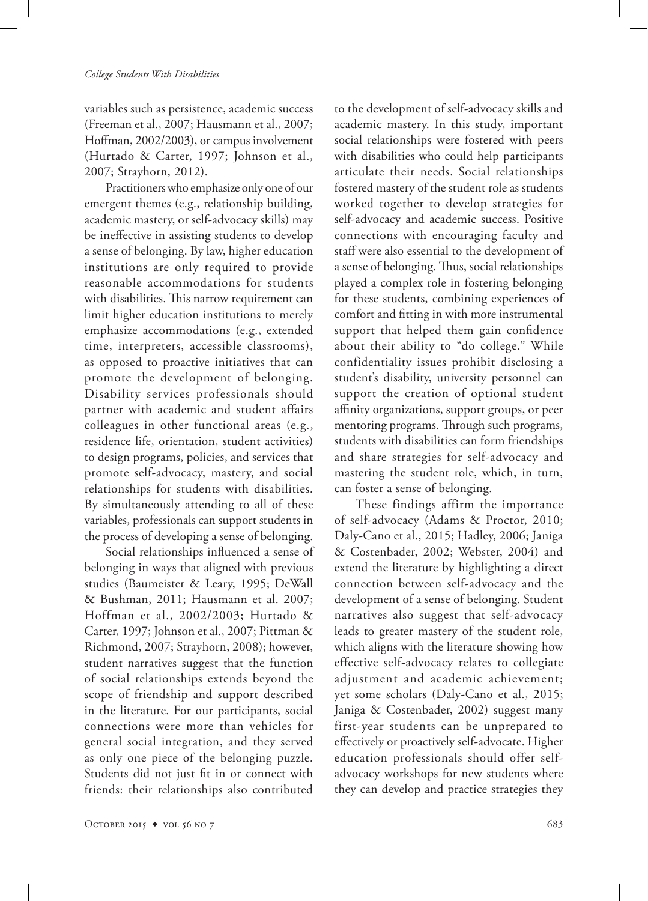variables such as persistence, academic success (Freeman et al., 2007; Hausmann et al., 2007; Hoffman, 2002/2003), or campus involvement (Hurtado & Carter, 1997; Johnson et al., 2007; Strayhorn, 2012).

Practitioners who emphasize only one of our emergent themes (e.g., relationship building, academic mastery, or self-advocacy skills) may be ineffective in assisting students to develop a sense of belonging. By law, higher education institutions are only required to provide reasonable accommodations for students with disabilities. This narrow requirement can limit higher education institutions to merely emphasize accommodations (e.g., extended time, interpreters, accessible classrooms), as opposed to proactive initiatives that can promote the development of belonging. Disability services professionals should partner with academic and student affairs colleagues in other functional areas (e.g., residence life, orientation, student activities) to design programs, policies, and services that promote self-advocacy, mastery, and social relationships for students with disabilities. By simultaneously attending to all of these variables, professionals can support students in the process of developing a sense of belonging.

Social relationships influenced a sense of belonging in ways that aligned with previous studies (Baumeister & Leary, 1995; DeWall & Bushman, 2011; Hausmann et al. 2007; Hoffman et al., 2002/2003; Hurtado & Carter, 1997; Johnson et al., 2007; Pittman & Richmond, 2007; Strayhorn, 2008); however, student narratives suggest that the function of social relationships extends beyond the scope of friendship and support described in the literature. For our participants, social connections were more than vehicles for general social integration, and they served as only one piece of the belonging puzzle. Students did not just fit in or connect with friends: their relationships also contributed

to the development of self-advocacy skills and academic mastery. In this study, important social relationships were fostered with peers with disabilities who could help participants articulate their needs. Social relationships fostered mastery of the student role as students worked together to develop strategies for self-advocacy and academic success. Positive connections with encouraging faculty and staff were also essential to the development of a sense of belonging. Thus, social relationships played a complex role in fostering belonging for these students, combining experiences of comfort and fitting in with more instrumental support that helped them gain confidence about their ability to "do college." While confidentiality issues prohibit disclosing a student's disability, university personnel can support the creation of optional student affinity organizations, support groups, or peer mentoring programs. Through such programs, students with disabilities can form friendships and share strategies for self-advocacy and mastering the student role, which, in turn, can foster a sense of belonging.

These findings affirm the importance of self-advocacy (Adams & Proctor, 2010; Daly-Cano et al., 2015; Hadley, 2006; Janiga & Costenbader, 2002; Webster, 2004) and extend the literature by highlighting a direct connection between self-advocacy and the development of a sense of belonging. Student narratives also suggest that self-advocacy leads to greater mastery of the student role, which aligns with the literature showing how effective self-advocacy relates to collegiate adjustment and academic achievement; yet some scholars (Daly-Cano et al., 2015; Janiga & Costenbader, 2002) suggest many first-year students can be unprepared to effectively or proactively self-advocate. Higher education professionals should offer selfadvocacy workshops for new students where they can develop and practice strategies they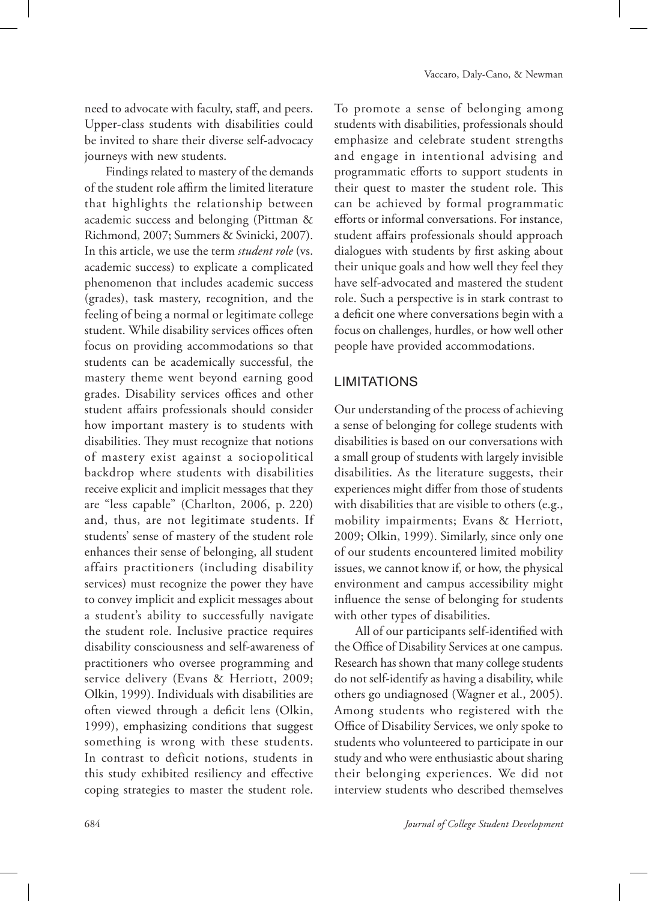need to advocate with faculty, staff, and peers. Upper-class students with disabilities could be invited to share their diverse self-advocacy journeys with new students.

Findings related to mastery of the demands of the student role affirm the limited literature that highlights the relationship between academic success and belonging (Pittman & Richmond, 2007; Summers & Svinicki, 2007). In this article, we use the term *student role* (vs. academic success) to explicate a complicated phenomenon that includes academic success (grades), task mastery, recognition, and the feeling of being a normal or legitimate college student. While disability services offices often focus on providing accommodations so that students can be academically successful, the mastery theme went beyond earning good grades. Disability services offices and other student affairs professionals should consider how important mastery is to students with disabilities. They must recognize that notions of mastery exist against a sociopolitical backdrop where students with disabilities receive explicit and implicit messages that they are "less capable" (Charlton, 2006, p. 220) and, thus, are not legitimate students. If students' sense of mastery of the student role enhances their sense of belonging, all student affairs practitioners (including disability services) must recognize the power they have to convey implicit and explicit messages about a student's ability to successfully navigate the student role. Inclusive practice requires disability consciousness and self-awareness of practitioners who oversee programming and service delivery (Evans & Herriott, 2009; Olkin, 1999). Individuals with disabilities are often viewed through a deficit lens (Olkin, 1999), emphasizing conditions that suggest something is wrong with these students. In contrast to deficit notions, students in this study exhibited resiliency and effective coping strategies to master the student role.

To promote a sense of belonging among students with disabilities, professionals should emphasize and celebrate student strengths and engage in intentional advising and programmatic efforts to support students in their quest to master the student role. This can be achieved by formal programmatic efforts or informal conversations. For instance, student affairs professionals should approach dialogues with students by first asking about their unique goals and how well they feel they have self-advocated and mastered the student role. Such a perspective is in stark contrast to a deficit one where conversations begin with a focus on challenges, hurdles, or how well other people have provided accommodations.

#### LIMITATIONS

Our understanding of the process of achieving a sense of belonging for college students with disabilities is based on our conversations with a small group of students with largely invisible disabilities. As the literature suggests, their experiences might differ from those of students with disabilities that are visible to others (e.g., mobility impairments; Evans & Herriott, 2009; Olkin, 1999). Similarly, since only one of our students encountered limited mobility issues, we cannot know if, or how, the physical environment and campus accessibility might influence the sense of belonging for students with other types of disabilities.

All of our participants self-identified with the Office of Disability Services at one campus. Research has shown that many college students do not self-identify as having a disability, while others go undiagnosed (Wagner et al., 2005). Among students who registered with the Office of Disability Services, we only spoke to students who volunteered to participate in our study and who were enthusiastic about sharing their belonging experiences. We did not interview students who described themselves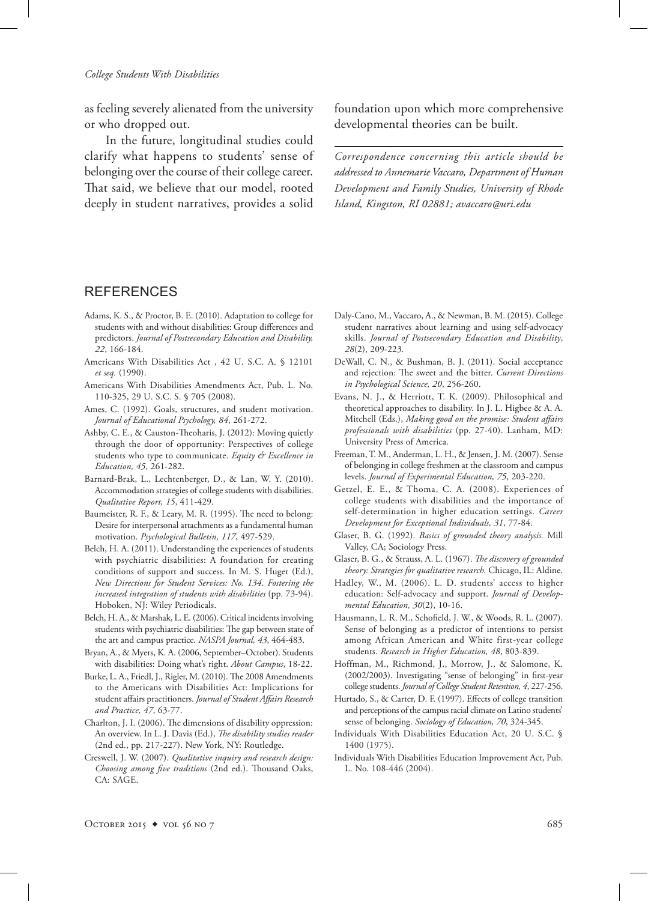as feeling severely alienated from the university or who dropped out.

In the future, longitudinal studies could clarify what happens to students' sense of belonging over the course of their college career. That said, we believe that our model, rooted deeply in student narratives, provides a solid

foundation upon which more comprehensive developmental theories can be built.

*Correspondence concerning this article should be addressed to Annemarie Vaccaro, Department of Human Development and Family Studies, University of Rhode Island, Kingston, RI 02881; avaccaro@uri.edu*

#### **REFERENCES**

- Adams, K. S., & Proctor, B. E. (2010). Adaptation to college for students with and without disabilities: Group differences and predictors. *Journal of Postsecondary Education and Disability, 22*, 166-184.
- Americans With Disabilities Act , 42 U. S.C. A. § 12101 *et seq.* (1990).
- Americans With Disabilities Amendments Act, Pub. L. No. 110-325, 29 U. S.C. S. § 705 (2008).
- Ames, C. (1992). Goals, structures, and student motivation. *Journal of Educational Psychology, 84*, 261-272.
- Ashby, C. E., & Causton-Theoharis, J. (2012): Moving quietly through the door of opportunity: Perspectives of college students who type to communicate. *Equity & Excellence in Education, 45*, 261-282.
- Barnard-Brak, L., Lechtenberger, D., & Lan, W. Y. (2010). Accommodation strategies of college students with disabilities. *Qualitative Report, 15*, 411-429.
- Baumeister, R. F., & Leary, M. R. (1995). The need to belong: Desire for interpersonal attachments as a fundamental human motivation. *Psychological Bulletin, 117*, 497-529.
- Belch, H. A. (2011). Understanding the experiences of students with psychiatric disabilities: A foundation for creating conditions of support and success. In M. S. Huger (Ed.), *New Directions for Student Services: No. 134*. *Fostering the increased integration of students with disabilities* (pp. 73-94). Hoboken, NJ: Wiley Periodicals.
- Belch, H. A., & Marshak, L. E. (2006). Critical incidents involving students with psychiatric disabilities: The gap between state of the art and campus practice. *NASPA Journal, 43*, 464-483.
- Bryan, A., & Myers, K. A. (2006, September–October). Students with disabilities: Doing what's right. *About Campus*, 18-22.
- Burke, L. A., Friedl, J., Rigler, M. (2010). The 2008 Amendments to the Americans with Disabilities Act: Implications for student affairs practitioners. *Journal of Student Affairs Research and Practice, 47*, 63-77.
- Charlton, J. I. (2006). The dimensions of disability oppression: An overview. In L. J. Davis (Ed.), *The disability studies reader*  (2nd ed., pp. 217-227). New York, NY: Routledge.
- Creswell, J. W. (2007). *Qualitative inquiry and research design: Choosing among five traditions* (2nd ed.). Thousand Oaks, CA: SAGE.
- Daly-Cano, M., Vaccaro, A., & Newman, B. M. (2015). College student narratives about learning and using self-advocacy skills. *Journal of Postsecondary Education and Disability*, *28*(2), 209-223*.*
- DeWall, C. N., & Bushman, B. J. (2011). Social acceptance and rejection: The sweet and the bitter. *Current Directions in Psychological Science, 20*, 256-260.
- Evans, N. J., & Herriott, T. K. (2009). Philosophical and theoretical approaches to disability. In J. L. Higbee & A. A. Mitchell (Eds.), *Making good on the promise: Student affairs professionals with disabilities* (pp. 27-40). Lanham, MD: University Press of America.
- Freeman, T. M., Anderman, L. H., & Jensen, J. M. (2007). Sense of belonging in college freshmen at the classroom and campus levels. *Journal of Experimental Education, 75*, 203-220.
- Getzel, E. E., & Thoma, C. A. (2008). Experiences of college students with disabilities and the importance of self-determination in higher education settings. *Career Development for Exceptional Individuals, 31*, 77-84.
- Glaser, B. G. (1992). *Basics of grounded theory analysis.* Mill Valley, CA; Sociology Press.
- Glaser, B. G., & Strauss, A. L. (1967). *The discovery of grounded theory: Strategies for qualitative research.* Chicago, IL: Aldine.
- Hadley, W., M. (2006). L. D. students' access to higher education: Self-advocacy and support. *Journal of Developmental Education, 30*(2), 10-16.
- Hausmann, L. R. M., Schofield, J. W., & Woods, R. L. (2007). Sense of belonging as a predictor of intentions to persist among African American and White first-year college students. *Research in Higher Education, 48*, 803-839.
- Hoffman, M., Richmond, J., Morrow, J., & Salomone, K. (2002/2003). Investigating "sense of belonging" in first-year college students. *Journal of College Student Retention, 4*, 227-256.
- Hurtado, S., & Carter, D. F. (1997). Effects of college transition and perceptions of the campus racial climate on Latino students' sense of belonging. *Sociology of Education, 70*, 324-345.
- Individuals With Disabilities Education Act, 20 U. S.C. § 1400 (1975).
- Individuals With Disabilities Education Improvement Act, Pub. L. No. 108-446 (2004).